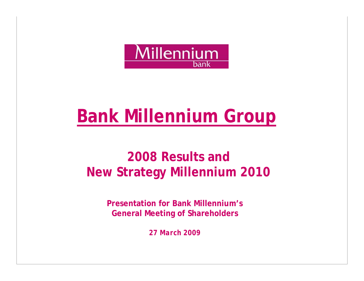

# **Bank Millennium Group**

## **2008 Results and New Strategy Millennium 2010**

**Presentation for Bank Millennium's General Meeting of Shareholders** 

*27 March 2009*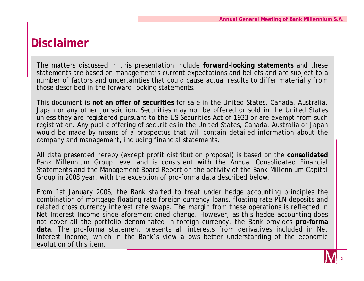#### **Disclaimer**

The matters discussed in this presentation include **forward-looking statements** and these statements are based on management's current expectations and beliefs and are subject to a number of factors and uncertainties that could cause actual results to differ materially from those described in the forward-looking statements.

This document is **not an offer of securities** for sale in the United States, Canada, Australia, Japan or any other jurisdiction. Securities may not be offered or sold in the United States unless they are registered pursuant to the US Securities Act of 1933 or are exempt from such registration. Any public offering of securities in the United States, Canada, Australia or Japan would be made by means of a prospectus that will contain detailed information about the company and management, including financial statements.

All data presented hereby (except profit distribution proposal) is based on the **consolidated**  Bank Millennium Group level and is consistent with the Annual Consolidated Financial Statements and the Management Board Report on the activity of the Bank Millennium Capital Group in 2008 year, with the exception of pro-forma data described below.

From 1st January 2006, the Bank started to treat under hedge accounting principles the combination of mortgage floating rate foreign currency loans, floating rate PLN deposits and related cross currency interest rate swaps. The margin from these operations is reflected in Net Interest Income since aforementioned change. However, as this hedge accounting does not cover all the portfolio denominated in foreign currency, the Bank provides **pro-forma data**. The pro-forma statement presents all interests from derivatives included in Net Interest Income, which in the Bank's view allows better understanding of the economic evolution of this item.

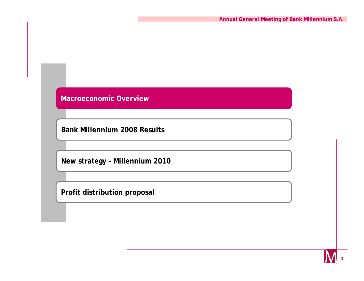**Bank Millennium 2008 Results**

**New strategy - Millennium 2010**

**Profit distribution proposal**

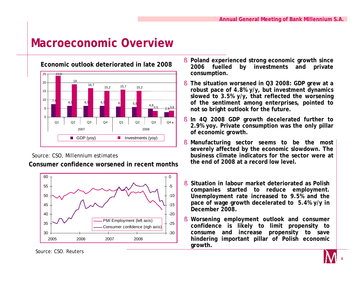

Source: CSO, Millennium estimates

**Consumer confidence worsened in recent months**



§ **Poland experienced strong economic growth since 2006 fuelled by investments and private consumption.** 

- § **The situation worsened in Q3 2008: GDP grew at a robust pace of 4.8% y/y, but investment dynamics slowed to 3.5% y/y, that reflected the worsening of the sentiment among enterprises, pointed to not so bright outlook for the future.**
- § **In 4Q 2008 GDP growth decelerated further to 2.9% yoy. Private consumption was the only pillar of economic growth.**
- § **Manufacturing sector seems to be the most severely affected by the economic slowdown. The business climate indicators for the sector were at the end of 2008 at a record low level.**
- § **Situation in labour market deteriorated as Polish companies started to reduce employment. Unemployment rate increased to 9.5% and the pace of wage growth decelerated to 5.4% y/y in December 2008.**
- § **Worsening employment outlook and consumer confidence is likely to limit propensity to consume and increase propensity to save hindering important pillar of Polish economic growth.**



Source: CSO. Reuters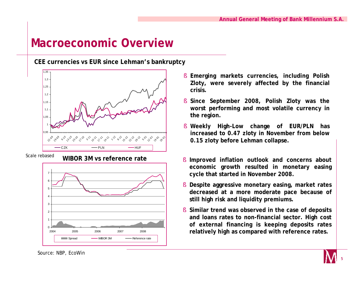**CEE currencies vs EUR since Lehman's bankruptcy**





- § **Emerging markets currencies, including Polish Zloty, were severely affected by the financial crisis.**
- § **Since September 2008, Polish Zloty was the worst performing and most volatile currency in the region.**
- § **Weekly High-Low change of EUR/PLN has increased to 0.47 zloty in November from below 0.15 zloty before Lehman collapse.**
- § **Improved inflation outlook and concerns about economic growth resulted in monetary easing cycle that started in November 2008.**
- § **Despite aggressive monetary easing, market rates decreased at a more moderate pace because of still high risk and liquidity premiums.**
- § **Similar trend was observed in the case of deposits and loans rates to non-financial sector. High cost of external financing is keeping deposits rates relatively high as compared with reference rates.**

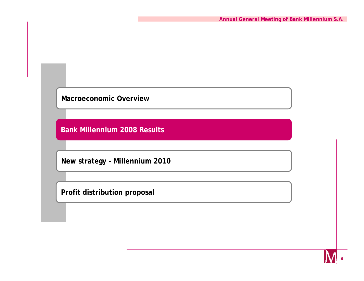**Bank Millennium 2008 Results**

**New strategy - Millennium 2010**

**Profit distribution proposal**

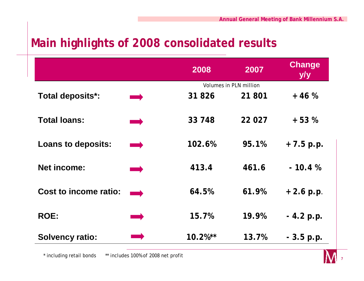#### **Main highlights of 2008 consolidated results**

|                              |           | 2008       | 2007                   | <b>Change</b><br>y/y |
|------------------------------|-----------|------------|------------------------|----------------------|
|                              |           |            | Volumes in PLN million |                      |
| Total deposits*:             |           | 31 826     | 21 801                 | $+46%$               |
| <b>Total loans:</b>          | $\sim 10$ | 33 748     | 22 027                 | $+53%$               |
| <b>Loans to deposits:</b>    |           | 102.6%     | 95.1%                  | $+7.5 p.p.$          |
| <b>Net income:</b>           |           | 413.4      | 461.6                  | $-10.4%$             |
| <b>Cost to income ratio:</b> |           | 64.5%      | 61.9%                  | $+2.6$ p.p.          |
| <b>ROE:</b>                  |           | 15.7%      | 19.9%                  | $-4.2 p.p.$          |
| <b>Solvency ratio:</b>       |           | $10.2%$ ** | 13.7%                  | $-3.5 p.p.$          |

\* including retail bonds \*\* includes 100% of 2008 net profit

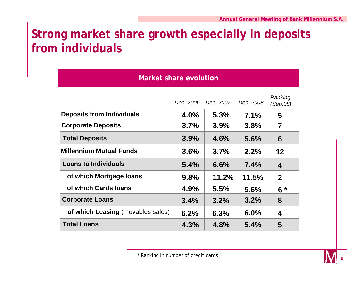## **Strong market share growth especially in deposits from individuals**

| <b>Market share evolution</b>     |           |           |           |                     |
|-----------------------------------|-----------|-----------|-----------|---------------------|
|                                   | Dec. 2006 | Dec. 2007 | Dec. 2008 | Ranking<br>(Sep.08) |
| <b>Deposits from Individuals</b>  | 4.0%      | 5.3%      | $7.1\%$   | 5                   |
| <b>Corporate Deposits</b>         | 3.7%      | 3.9%      | 3.8%      | 7                   |
| <b>Total Deposits</b>             | 3.9%      | 4.6%      | 5.6%      | 6                   |
| <b>Millennium Mutual Funds</b>    | 3.6%      | 3.7%      | 2.2%      | $12 \,$             |
| <b>Loans to Individuals</b>       | 5.4%      | 6.6%      | 7.4%      | 4                   |
| of which Mortgage loans           | 9.8%      | 11.2%     | 11.5%     | $\mathbf{2}$        |
| of which Cards Ioans              | 4.9%      | 5.5%      | 5.6%      | $6*$                |
| <b>Corporate Loans</b>            | 3.4%      | 3.2%      | 3.2%      | 8                   |
| of which Leasing (movables sales) | 6.2%      | 6.3%      | $6.0\%$   | 4                   |
| <b>Total Loans</b>                | 4.3%      | 4.8%      | 5.4%      | 5                   |

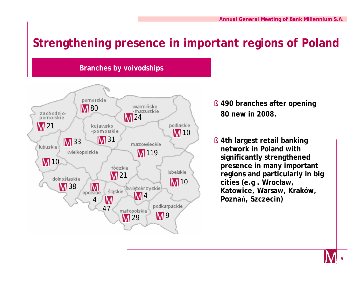## **Strengthening presence in important regions of Poland**



**Branches by voivodships**

- § **490 branches after opening 80 new in 2008.**
- § **4th largest retail banking network in Poland with significantly strengthened presence in many important regions and particularly in big cities (e.g . Wrocław, Katowice, Warsaw, Kraków, Poznań, Szczecin)**

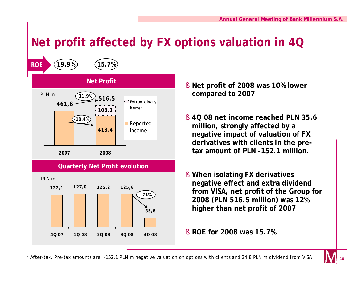## **Net profit affected by FX options valuation in 4Q**



- § **Net profit of 2008 was 10% lower compared to 2007**
- § **4Q 08 net income reached PLN 35.6 million, strongly affected by a negative impact of valuation of FX derivatives with clients in the pretax amount of PLN -152.1 million.**
- § **When isolating FX derivatives negative effect and extra dividend from VISA, net profit of the Group for 2008 (PLN 516.5 million) was 12% higher than net profit of 2007**
- § **ROE for 2008 was 15.7%.**

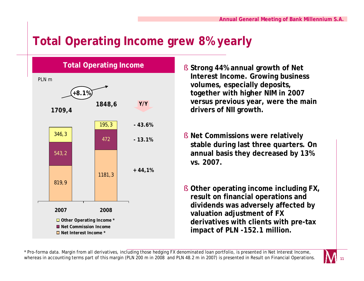## **Total Operating Income grew 8% yearly**



- § **Strong 44% annual growth of Net Interest Income. Growing business volumes, especially deposits, together with higher NIM in 2007 versus previous year, were the main drivers of NII growth.**
- § **Net Commissions were relatively stable during last three quarters. On annual basis they decreased by 13% vs. 2007.**
- § **Other operating income including FX, result on financial operations and dividends was adversely affected by valuation adjustment of FX derivatives with clients with pre-tax impact of PLN -152.1 million.**

\* Pro-forma data. Margin from all derivatives, including those hedging FX denominated loan portfolio, is presented in Net Interest Income, whereas in accounting terms part of this margin (PLN 200 m in 2008 and PLN 48.2 m in 2007) is presented in Result on Financial Operations.

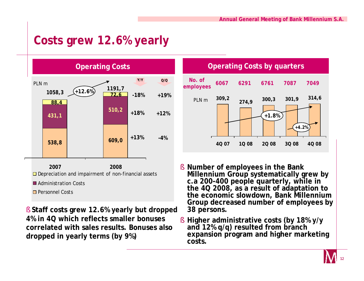### **Costs grew 12.6% yearly**



§ **Staff costs grew 12.6% yearly but dropped 4% in 4Q which reflects smaller bonuses correlated with sales results. Bonuses also dropped in yearly terms (by 9%)**

**Operating Costs by quarters**



- § **Number of employees in the Bank Millennium Group systematically grew by c.a 200-400 people quarterly, while in the 4Q 2008, as a result of adaptation to the economic slowdown, Bank Millennium Group decreased number of employees by 38 persons.**
- § **Higher administrative costs (by 18% y/y and 12% q/q) resulted from branch expansion program and higher marketing costs.**

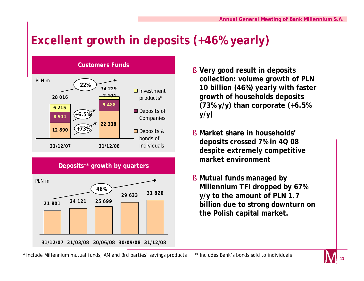## **Excellent growth in deposits (+46% yearly)**



- § **Very good result in deposits collection: volume growth of PLN 10 billion (46%) yearly with faster growth of households deposits (73% y/y) than corporate (+6.5% y/y)**
- § **Market share in households' deposits crossed 7% in 4Q 08 despite extremely competitive market environment**
- § **Mutual funds managed by Millennium TFI dropped by 67% y/y to the amount of PLN 1.7 billion due to strong downturn on the Polish capital market.**

\* Include Millennium mutual funds, AM and 3rd parties' savings products \*\* Includes Bank's bonds sold to individuals

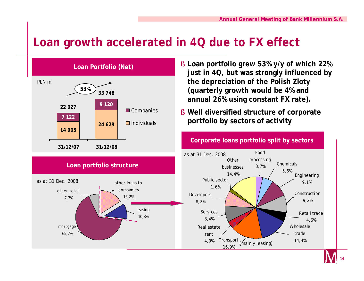## **Loan growth accelerated in 4Q due to FX effect**



- § **Loan portfolio grew 53% y/y of which 22% just in 4Q, but was strongly influenced by the depreciation of the Polish Zloty (quarterly growth would be 4% and annual 26% using constant FX rate).**
- § **Well diversified structure of corporate portfolio by sectors of activity**



#### **Corporate loans portfolio split by sectors**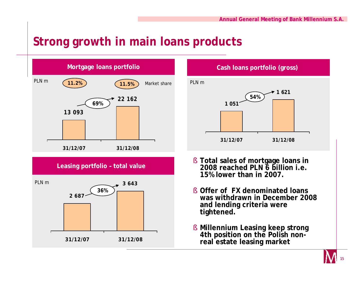## **Strong growth in main loans products**





- § **Offer of FX denominated loans was withdrawn in December 2008 and lending criteria were tightened.**
- § **Millennium Leasing keep strong 4th position on the Polish nonreal estate leasing market**

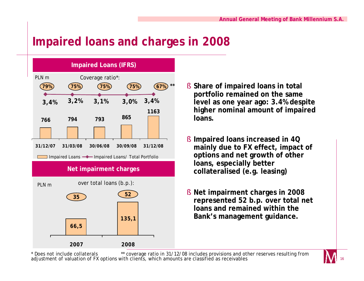### **Impaired loans and charges in 2008**



- § **Share of impaired loans in total portfolio remained on the same level as one year ago: 3.4% despite higher nominal amount of impaired loans.**
- § **Impaired loans increased in 4Q mainly due to FX effect, impact of options and net growth of other loans, especially better collateralised (e.g. leasing)**
- § **Net impairment charges in 2008 represented 52 b.p. over total net loans and remained within the Bank's management guidance.**

\* Does not include collaterals \*\* coverage ratio in 31/12/08 includes provisions and other reserves resulting from adjustment of valuation of FX options with clients, which amounts are classified as receivables

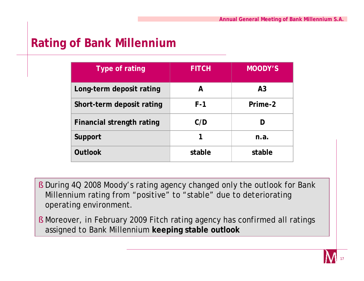#### **Rating of Bank Millennium**

| Type of rating                   | <b>FITCH</b> | <b>MOODY'S</b> |
|----------------------------------|--------------|----------------|
| Long-term deposit rating         | А            | A <sub>3</sub> |
| Short-term deposit rating        | F-1          | Prime-2        |
| <b>Financial strength rating</b> | C/D          |                |
| Support                          |              | n.a.           |
| <b>Outlook</b>                   | stable       | stable         |

- § During 4Q 2008 Moody's rating agency changed only the outlook for Bank Millennium rating from "positive" to "stable" due to deteriorating operating environment.
- § Moreover, in February 2009 Fitch rating agency has confirmed all ratings assigned to Bank Millennium **keeping stable outlook**

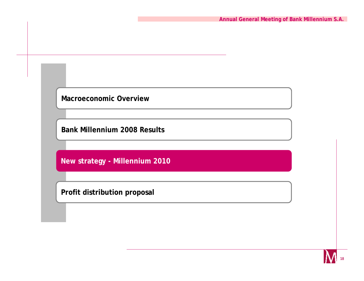**Bank Millennium 2008 Results**

**New strategy - Millennium 2010**

**Profit distribution proposal**

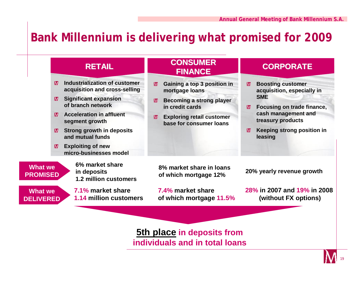#### **Bank Millennium is delivering what promised for 2009**



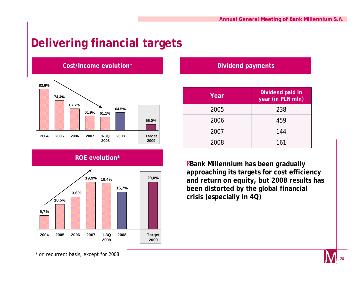#### **Delivering financial targets**



#### **ROE evolution\***



#### **Dividend payments**

| Year | Dividend paid in<br>year (in PLN mln) |
|------|---------------------------------------|
| 2005 | 238                                   |
| 2006 | 459                                   |
| 2007 | 144                                   |
| 2008 | 161                                   |

§**Bank Millennium has been gradually approaching its targets for cost efficiency and return on equity, but 2008 results has been distorted by the global financial crisis (especially in 4Q)**

\* on recurrent basis, except for 2008

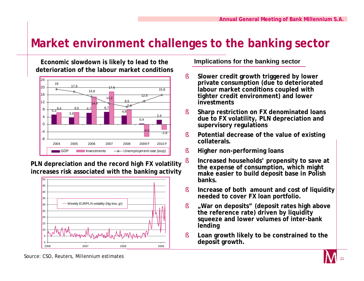#### **Market environment challenges to the banking sector**

**Economic slowdown is likely to lead to the deterioration of the labour market conditions**



**PLN depreciation and the record high FX volatility increases risk associated with the banking activity**



#### **Implications for the banking sector**

- § **Slower credit growth triggered by lower private consumption (due to deteriorated labour market conditions coupled with tighter credit environment) and lower investments**
- § **Sharp restriction on FX denominated loans due to FX volatility, PLN depreciation and supervisory regulations**
- § **Potential decrease of the value of existing collaterals.**
- § **Higher non-performing loans**
- § **Increased households' propensity to save at the expense of consumption, which might make easier to build deposit base in Polish banks.**
- § **Increase of both amount and cost of liquidity needed to cover FX loan portfolio.**
- § **"War on deposits" (deposit rates high above the reference rate) driven by liquidity squeeze and lower volumes of inter-bank lending**
- § **Loan growth likely to be constrained to the**



Source: CSO, Reuters, Millennium estimates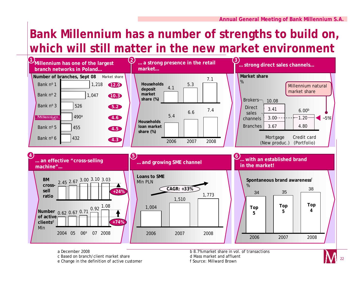## **Bank Millennium has a number of strengths to build on, which will still matter in the new market environment**



a December 2008 b 8.7% market share in vol. of transactions c Based on branch/client market share d Mass market and affluent e Change in the definition of active customer f Source: Millward Brown

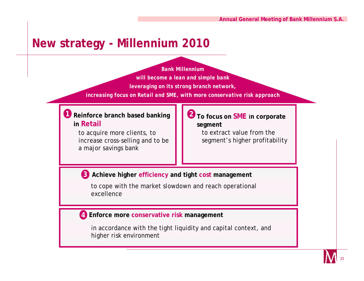#### **New strategy - Millennium 2010**

*Bank Millennium will become a lean and simple bank leveraging on its strong branch network, increasing focus on Retail and SME, with more conservative risk approach*

#### **Reinforce branch based banking 1 2in Retail**

to acquire more clients, to increase cross-selling and to be a major savings bank

#### **To focus on SME in corporate segment**

to extract value from the segment's higher profitability

#### **3 Achieve higher efficiency and tight cost management**

to cope with the market slowdown and reach operational excellence

#### **Enforce more conservative risk management 4**

in accordance with the tight liquidity and capital context, and higher risk environment

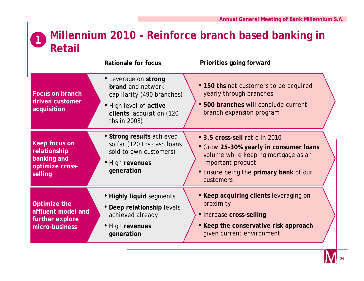#### **Millennium 2010 - Reinforce branch based banking in Retail 1**

|                                                                            | Rationale for focus                                                                                                                           | Priorities going forward                                                                                                                                                                           |
|----------------------------------------------------------------------------|-----------------------------------------------------------------------------------------------------------------------------------------------|----------------------------------------------------------------------------------------------------------------------------------------------------------------------------------------------------|
| <b>Focus on branch</b><br>driven customer<br>acquisition                   | • Leverage on strong<br>brand and network<br>capillarity (490 branches)<br>• High level of active<br>clients acquisition (120<br>ths in 2008) | • 150 ths net customers to be acquired<br>yearly through branches<br>· 500 branches will conclude current<br>branch expansion program                                                              |
| Keep focus on<br>relationship<br>banking and<br>optimize cross-<br>selling | • Strong results achieved<br>so far (120 ths cash loans<br>sold to own customers)<br>• High revenues<br>generation                            | • 3.5 cross-sell ratio in 2010<br>• Grow 25-30% yearly in consumer loans<br>volume while keeping mortgage as an<br>important product<br><b>• Ensure being the primary bank of our</b><br>customers |
| Optimize the<br>affluent model and<br>further explore<br>micro-business    | • Highly liquid segments<br>• Deep relationship levels<br>achieved already<br>• High revenues<br>generation                                   | • Keep acquiring clients leveraging on<br>proximity<br>• Increase cross-selling<br>• Keep the conservative risk approach<br>given current environment                                              |

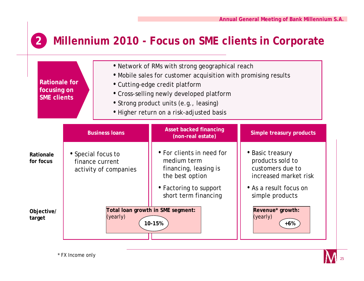#### **2 Millennium 2010 - Focus on SME clients in Corporate**

|                        | • Network of RMs with strong geographical reach<br>• Mobile sales for customer acquisition with promising results<br>Rationale for<br>• Cutting-edge credit platform<br>focusing on<br>• Cross-selling newly developed platform<br><b>SME clients</b><br>• Strong product units (e.g., leasing)<br>• Higher return on a risk-adjusted basis |                                                                |                                                                                      |                                                                                   |
|------------------------|---------------------------------------------------------------------------------------------------------------------------------------------------------------------------------------------------------------------------------------------------------------------------------------------------------------------------------------------|----------------------------------------------------------------|--------------------------------------------------------------------------------------|-----------------------------------------------------------------------------------|
|                        |                                                                                                                                                                                                                                                                                                                                             | <b>Business loans</b>                                          | <b>Asset backed financing</b><br>(non-real estate)                                   | Simple treasury products                                                          |
| Rationale<br>for focus |                                                                                                                                                                                                                                                                                                                                             | • Special focus to<br>finance current<br>activity of companies | • For clients in need for<br>medium term<br>financing, leasing is<br>the best option | • Basic treasury<br>products sold to<br>customers due to<br>increased market risk |
|                        |                                                                                                                                                                                                                                                                                                                                             |                                                                | • Factoring to support<br>short term financing                                       | • As a result focus on<br>simple products                                         |
| Objective/<br>target   |                                                                                                                                                                                                                                                                                                                                             | (yearly)                                                       | Total loan growth in SME segment:<br>10-15%                                          | Revenue* growth:<br>(yearly)<br>$+6%$                                             |

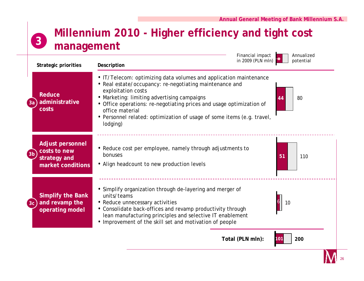

**Millennium 2010 - Higher efficiency and tight cost** 

26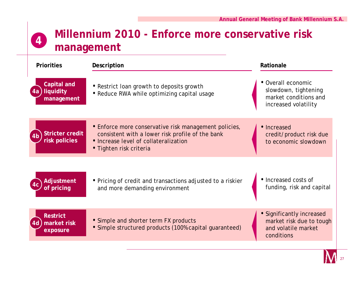

| <b>Priorities</b>                                         | Description                                                                                                                                                                   | Rationale                                                                                   |
|-----------------------------------------------------------|-------------------------------------------------------------------------------------------------------------------------------------------------------------------------------|---------------------------------------------------------------------------------------------|
| <b>Capital and</b><br>liquidity<br>4a<br>management       | • Restrict Ioan growth to deposits growth<br>• Reduce RWA while optimizing capital usage                                                                                      | • Overall economic<br>slowdown, tightening<br>market conditions and<br>increased volatility |
| <b>Stricter credit</b><br>4 <sub>b</sub><br>risk policies | • Enforce more conservative risk management policies,<br>consistent with a lower risk profile of the bank<br>• Increase level of collateralization<br>• Tighten risk criteria | • Increased<br>credit/product risk due<br>to economic slowdown                              |
| Adjustment<br>of pricing                                  | • Pricing of credit and transactions adjusted to a riskier<br>and more demanding environment                                                                                  | • Increased costs of<br>funding, risk and capital                                           |
| <b>Restrict</b><br>market risk<br>4d<br>exposure          | • Simple and shorter term FX products<br>• Simple structured products (100% capital guaranteed)                                                                               | • Significantly increased<br>market risk due to tough<br>and volatile market<br>conditions  |

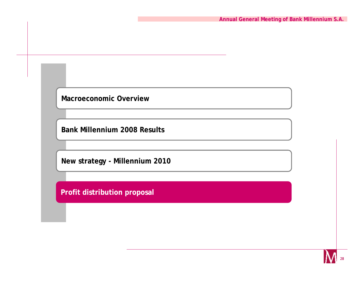**Bank Millennium 2008 Results**

**New strategy - Millennium 2010**

**Profit distribution proposal**

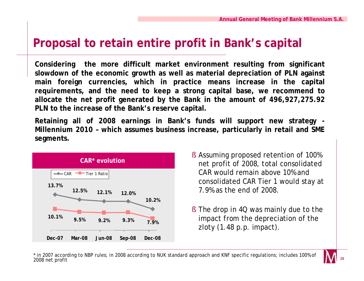#### **Proposal to retain entire profit in Bank's capital**

**Considering the more difficult market environment resulting from significant slowdown of the economic growth as well as material depreciation of PLN against main foreign currencies, which in practice means increase in the capital requirements, and the need to keep a strong capital base, we recommend to allocate the net profit generated by the Bank in the amount of 496,927,275.92 PLN to the increase of the Bank's reserve capital.**

**Retaining all of 2008 earnings in Bank's funds will support new strategy - Millennium 2010 – which assumes business increase, particularly in retail and SME segments.** 



- § Assuming proposed retention of 100% net profit of 2008, total consolidated CAR would remain above 10% and consolidated CAR Tier 1 would stay at 7.9% as the end of 2008.
- § The drop in 4Q was mainly due to the impact from the depreciation of the zloty (1.48 p.p. impact).